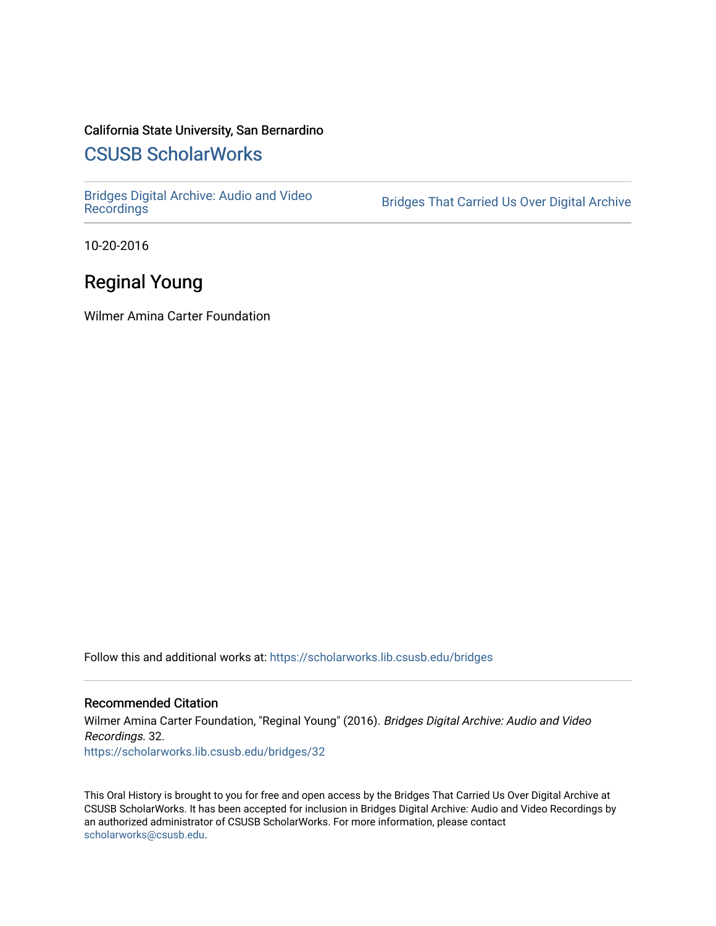### California State University, San Bernardino

# [CSUSB ScholarWorks](https://scholarworks.lib.csusb.edu/)

[Bridges Digital Archive: Audio and Video](https://scholarworks.lib.csusb.edu/bridges)

Bridges That Carried Us Over Digital Archive

10-20-2016

# Reginal Young

Wilmer Amina Carter Foundation

Follow this and additional works at: [https://scholarworks.lib.csusb.edu/bridges](https://scholarworks.lib.csusb.edu/bridges?utm_source=scholarworks.lib.csusb.edu%2Fbridges%2F32&utm_medium=PDF&utm_campaign=PDFCoverPages) 

#### Recommended Citation

Wilmer Amina Carter Foundation, "Reginal Young" (2016). Bridges Digital Archive: Audio and Video Recordings. 32. [https://scholarworks.lib.csusb.edu/bridges/32](https://scholarworks.lib.csusb.edu/bridges/32?utm_source=scholarworks.lib.csusb.edu%2Fbridges%2F32&utm_medium=PDF&utm_campaign=PDFCoverPages)

This Oral History is brought to you for free and open access by the Bridges That Carried Us Over Digital Archive at CSUSB ScholarWorks. It has been accepted for inclusion in Bridges Digital Archive: Audio and Video Recordings by an authorized administrator of CSUSB ScholarWorks. For more information, please contact [scholarworks@csusb.edu](mailto:scholarworks@csusb.edu).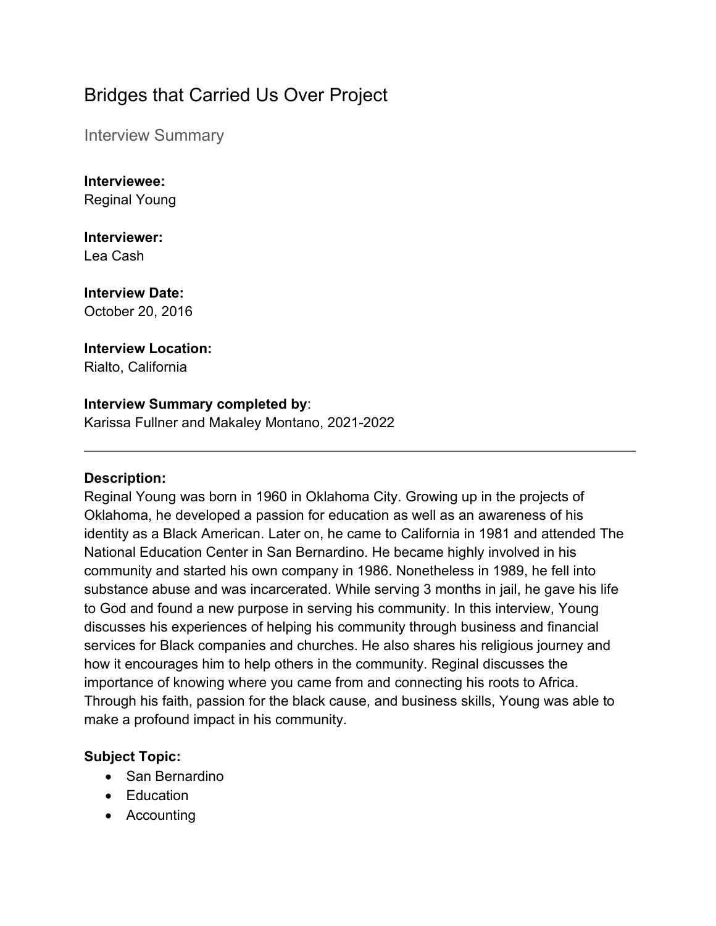# Bridges that Carried Us Over Project

Interview Summary

**Interviewee:** Reginal Young

**Interviewer:** Lea Cash

**Interview Date:** October 20, 2016

**Interview Location:** Rialto, California

### **Interview Summary completed by**:

Karissa Fullner and Makaley Montano, 2021-2022

#### **Description:**

Reginal Young was born in 1960 in Oklahoma City. Growing up in the projects of Oklahoma, he developed a passion for education as well as an awareness of his identity as a Black American. Later on, he came to California in 1981 and attended The National Education Center in San Bernardino. He became highly involved in his community and started his own company in 1986. Nonetheless in 1989, he fell into substance abuse and was incarcerated. While serving 3 months in jail, he gave his life to God and found a new purpose in serving his community. In this interview, Young discusses his experiences of helping his community through business and financial services for Black companies and churches. He also shares his religious journey and how it encourages him to help others in the community. Reginal discusses the importance of knowing where you came from and connecting his roots to Africa. Through his faith, passion for the black cause, and business skills, Young was able to make a profound impact in his community.

## **Subject Topic:**

- San Bernardino
- Education
- Accounting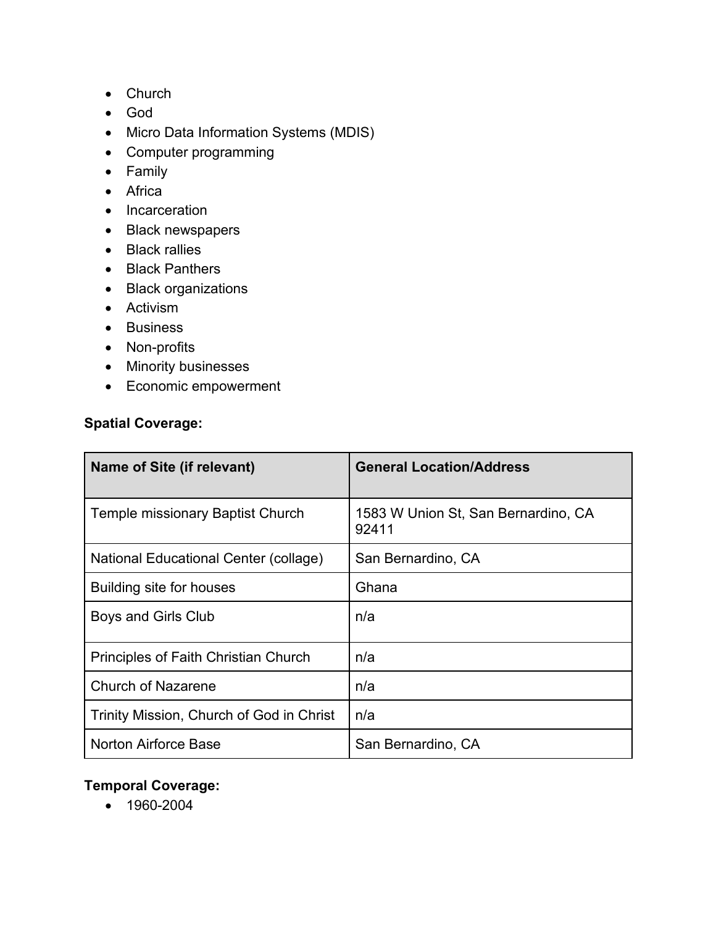- Church
- God
- Micro Data Information Systems (MDIS)
- Computer programming
- Family
- Africa
- Incarceration
- Black newspapers
- Black rallies
- Black Panthers
- Black organizations
- Activism
- Business
- Non-profits
- Minority businesses
- Economic empowerment

### **Spatial Coverage:**

| Name of Site (if relevant)               | <b>General Location/Address</b>              |
|------------------------------------------|----------------------------------------------|
| Temple missionary Baptist Church         | 1583 W Union St, San Bernardino, CA<br>92411 |
| National Educational Center (collage)    | San Bernardino, CA                           |
| Building site for houses                 | Ghana                                        |
| Boys and Girls Club                      | n/a                                          |
| Principles of Faith Christian Church     | n/a                                          |
| <b>Church of Nazarene</b>                | n/a                                          |
| Trinity Mission, Church of God in Christ | n/a                                          |
| <b>Norton Airforce Base</b>              | San Bernardino, CA                           |

# **Temporal Coverage:**

• 1960-2004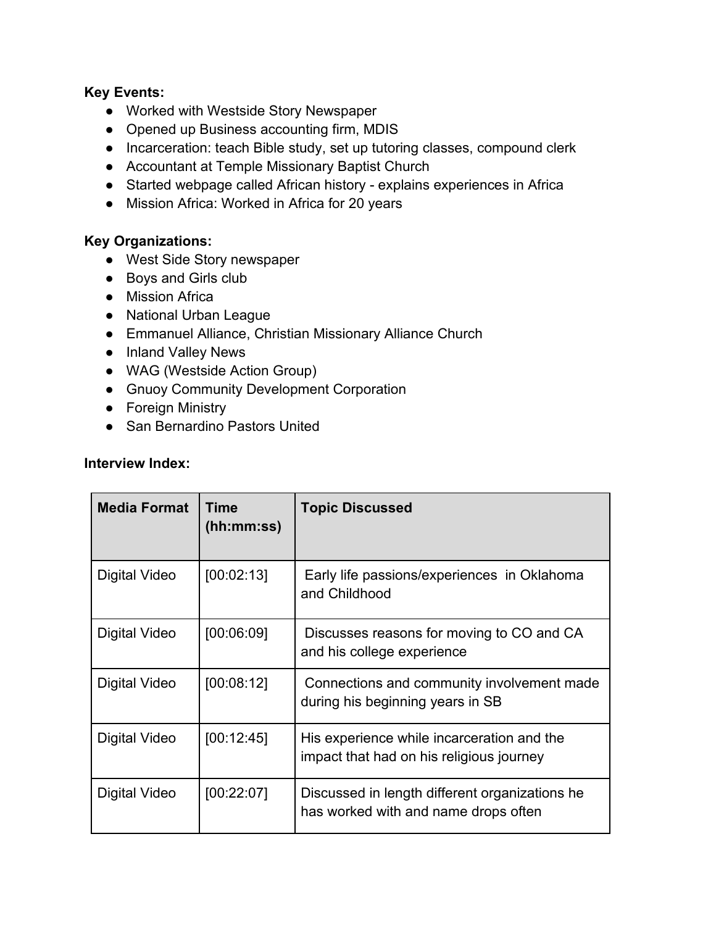#### **Key Events:**

- Worked with Westside Story Newspaper
- Opened up Business accounting firm, MDIS
- Incarceration: teach Bible study, set up tutoring classes, compound clerk
- Accountant at Temple Missionary Baptist Church
- Started webpage called African history explains experiences in Africa
- Mission Africa: Worked in Africa for 20 years

#### **Key Organizations:**

- West Side Story newspaper
- Boys and Girls club
- Mission Africa
- National Urban League
- Emmanuel Alliance, Christian Missionary Alliance Church
- Inland Valley News
- WAG (Westside Action Group)
- Gnuoy Community Development Corporation
- Foreign Ministry
- San Bernardino Pastors United

#### **Interview Index:**

| <b>Media Format</b> | Time<br>(hh:mm:ss) | <b>Topic Discussed</b>                                                                 |
|---------------------|--------------------|----------------------------------------------------------------------------------------|
| Digital Video       | [00:02:13]         | Early life passions/experiences in Oklahoma<br>and Childhood                           |
| Digital Video       | [00:06:09]         | Discusses reasons for moving to CO and CA<br>and his college experience                |
| Digital Video       | [00:08:12]         | Connections and community involvement made<br>during his beginning years in SB         |
| Digital Video       | [00:12:45]         | His experience while incarceration and the<br>impact that had on his religious journey |
| Digital Video       | [00:22:07]         | Discussed in length different organizations he<br>has worked with and name drops often |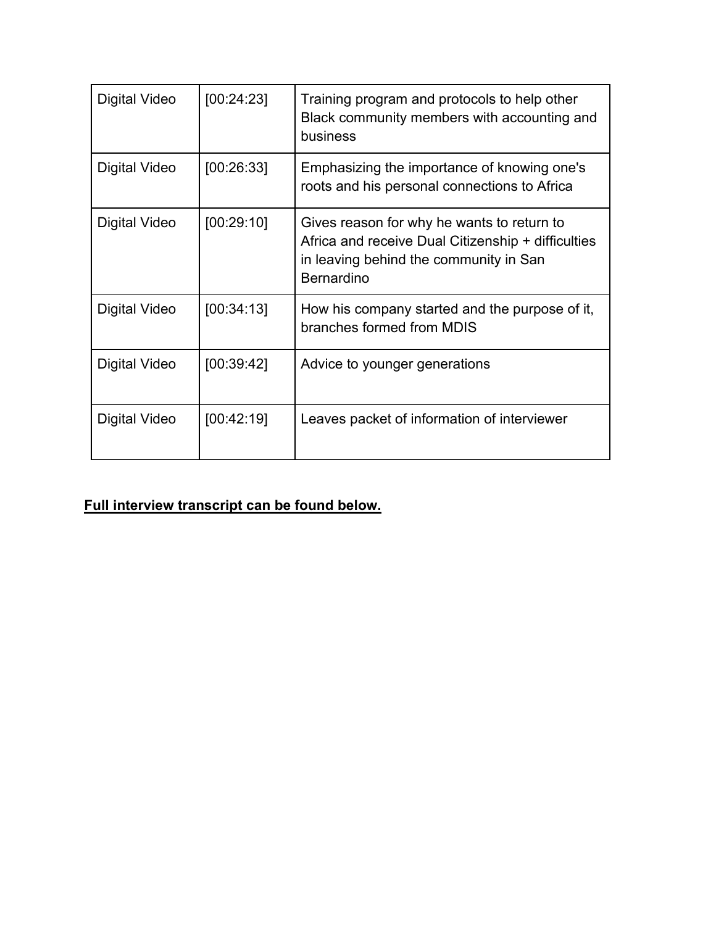| Digital Video | [00:24:23] | Training program and protocols to help other<br>Black community members with accounting and<br>business                                                         |
|---------------|------------|-----------------------------------------------------------------------------------------------------------------------------------------------------------------|
| Digital Video | [00:26:33] | Emphasizing the importance of knowing one's<br>roots and his personal connections to Africa                                                                     |
| Digital Video | [00:29:10] | Gives reason for why he wants to return to<br>Africa and receive Dual Citizenship + difficulties<br>in leaving behind the community in San<br><b>Bernardino</b> |
| Digital Video | [00:34:13] | How his company started and the purpose of it,<br>branches formed from MDIS                                                                                     |
| Digital Video | [00:39:42] | Advice to younger generations                                                                                                                                   |
| Digital Video | [00:42:19] | Leaves packet of information of interviewer                                                                                                                     |

# **Full interview transcript can be found below.**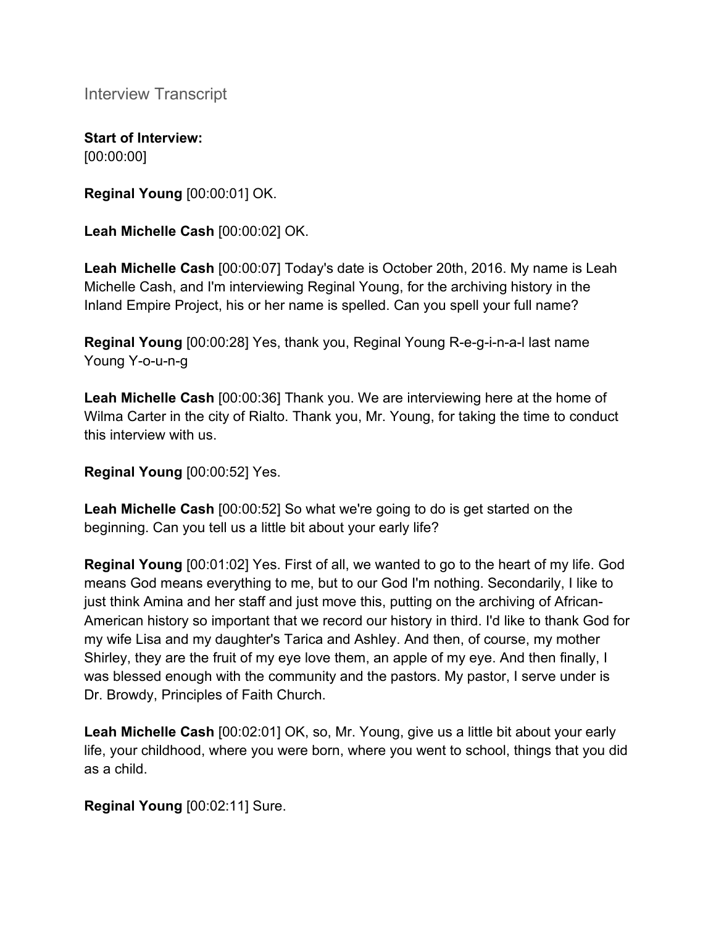Interview Transcript

**Start of Interview:** [00:00:00]

**Reginal Young** [00:00:01] OK.

**Leah Michelle Cash** [00:00:02] OK.

**Leah Michelle Cash** [00:00:07] Today's date is October 20th, 2016. My name is Leah Michelle Cash, and I'm interviewing Reginal Young, for the archiving history in the Inland Empire Project, his or her name is spelled. Can you spell your full name?

**Reginal Young** [00:00:28] Yes, thank you, Reginal Young R-e-g-i-n-a-l last name Young Y-o-u-n-g

**Leah Michelle Cash** [00:00:36] Thank you. We are interviewing here at the home of Wilma Carter in the city of Rialto. Thank you, Mr. Young, for taking the time to conduct this interview with us.

**Reginal Young** [00:00:52] Yes.

**Leah Michelle Cash** [00:00:52] So what we're going to do is get started on the beginning. Can you tell us a little bit about your early life?

**Reginal Young** [00:01:02] Yes. First of all, we wanted to go to the heart of my life. God means God means everything to me, but to our God I'm nothing. Secondarily, I like to just think Amina and her staff and just move this, putting on the archiving of African-American history so important that we record our history in third. I'd like to thank God for my wife Lisa and my daughter's Tarica and Ashley. And then, of course, my mother Shirley, they are the fruit of my eye love them, an apple of my eye. And then finally, I was blessed enough with the community and the pastors. My pastor, I serve under is Dr. Browdy, Principles of Faith Church.

**Leah Michelle Cash** [00:02:01] OK, so, Mr. Young, give us a little bit about your early life, your childhood, where you were born, where you went to school, things that you did as a child.

**Reginal Young** [00:02:11] Sure.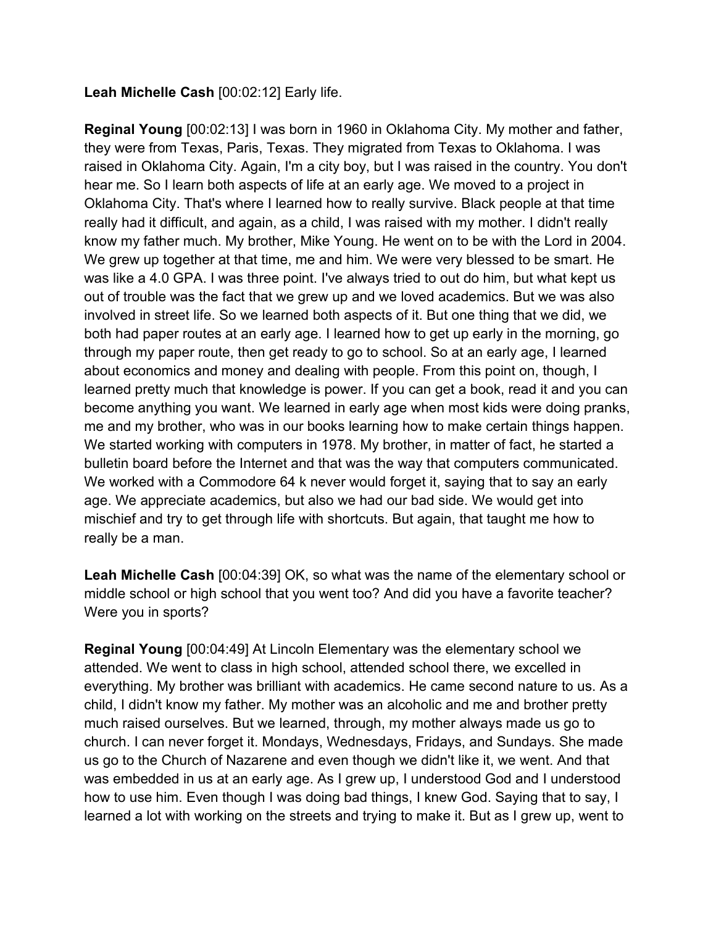#### **Leah Michelle Cash** [00:02:12] Early life.

**Reginal Young** [00:02:13] I was born in 1960 in Oklahoma City. My mother and father, they were from Texas, Paris, Texas. They migrated from Texas to Oklahoma. I was raised in Oklahoma City. Again, I'm a city boy, but I was raised in the country. You don't hear me. So I learn both aspects of life at an early age. We moved to a project in Oklahoma City. That's where I learned how to really survive. Black people at that time really had it difficult, and again, as a child, I was raised with my mother. I didn't really know my father much. My brother, Mike Young. He went on to be with the Lord in 2004. We grew up together at that time, me and him. We were very blessed to be smart. He was like a 4.0 GPA. I was three point. I've always tried to out do him, but what kept us out of trouble was the fact that we grew up and we loved academics. But we was also involved in street life. So we learned both aspects of it. But one thing that we did, we both had paper routes at an early age. I learned how to get up early in the morning, go through my paper route, then get ready to go to school. So at an early age, I learned about economics and money and dealing with people. From this point on, though, I learned pretty much that knowledge is power. If you can get a book, read it and you can become anything you want. We learned in early age when most kids were doing pranks, me and my brother, who was in our books learning how to make certain things happen. We started working with computers in 1978. My brother, in matter of fact, he started a bulletin board before the Internet and that was the way that computers communicated. We worked with a Commodore 64 k never would forget it, saying that to say an early age. We appreciate academics, but also we had our bad side. We would get into mischief and try to get through life with shortcuts. But again, that taught me how to really be a man.

**Leah Michelle Cash** [00:04:39] OK, so what was the name of the elementary school or middle school or high school that you went too? And did you have a favorite teacher? Were you in sports?

**Reginal Young** [00:04:49] At Lincoln Elementary was the elementary school we attended. We went to class in high school, attended school there, we excelled in everything. My brother was brilliant with academics. He came second nature to us. As a child, I didn't know my father. My mother was an alcoholic and me and brother pretty much raised ourselves. But we learned, through, my mother always made us go to church. I can never forget it. Mondays, Wednesdays, Fridays, and Sundays. She made us go to the Church of Nazarene and even though we didn't like it, we went. And that was embedded in us at an early age. As I grew up, I understood God and I understood how to use him. Even though I was doing bad things, I knew God. Saying that to say, I learned a lot with working on the streets and trying to make it. But as I grew up, went to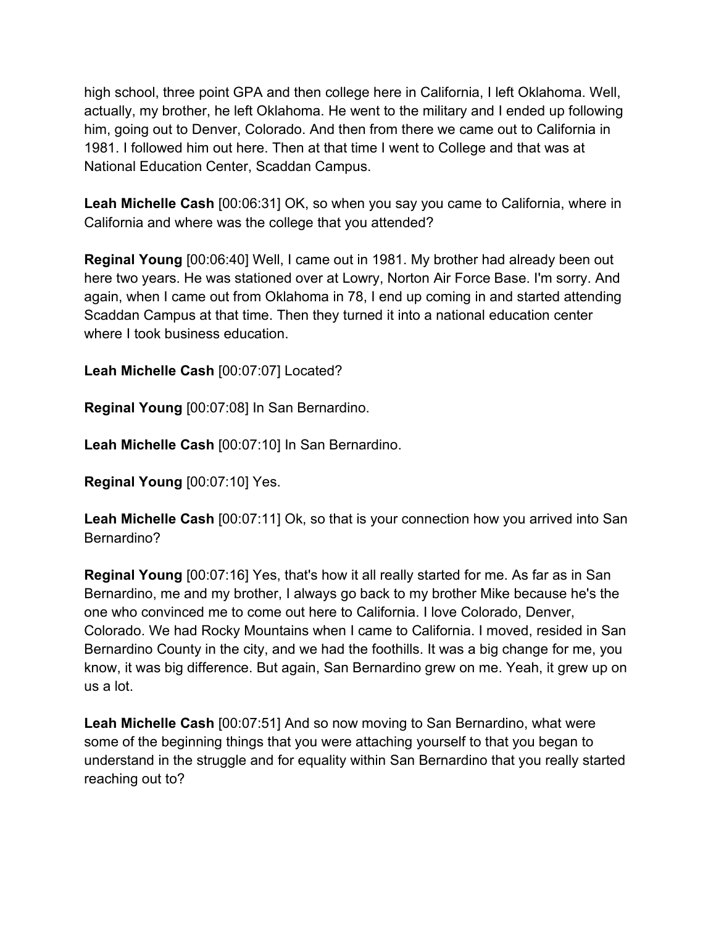high school, three point GPA and then college here in California, I left Oklahoma. Well, actually, my brother, he left Oklahoma. He went to the military and I ended up following him, going out to Denver, Colorado. And then from there we came out to California in 1981. I followed him out here. Then at that time I went to College and that was at National Education Center, Scaddan Campus.

**Leah Michelle Cash** [00:06:31] OK, so when you say you came to California, where in California and where was the college that you attended?

**Reginal Young** [00:06:40] Well, I came out in 1981. My brother had already been out here two years. He was stationed over at Lowry, Norton Air Force Base. I'm sorry. And again, when I came out from Oklahoma in 78, I end up coming in and started attending Scaddan Campus at that time. Then they turned it into a national education center where I took business education.

**Leah Michelle Cash** [00:07:07] Located?

**Reginal Young** [00:07:08] In San Bernardino.

**Leah Michelle Cash** [00:07:10] In San Bernardino.

**Reginal Young** [00:07:10] Yes.

**Leah Michelle Cash** [00:07:11] Ok, so that is your connection how you arrived into San Bernardino?

**Reginal Young** [00:07:16] Yes, that's how it all really started for me. As far as in San Bernardino, me and my brother, I always go back to my brother Mike because he's the one who convinced me to come out here to California. I love Colorado, Denver, Colorado. We had Rocky Mountains when I came to California. I moved, resided in San Bernardino County in the city, and we had the foothills. It was a big change for me, you know, it was big difference. But again, San Bernardino grew on me. Yeah, it grew up on us a lot.

**Leah Michelle Cash** [00:07:51] And so now moving to San Bernardino, what were some of the beginning things that you were attaching yourself to that you began to understand in the struggle and for equality within San Bernardino that you really started reaching out to?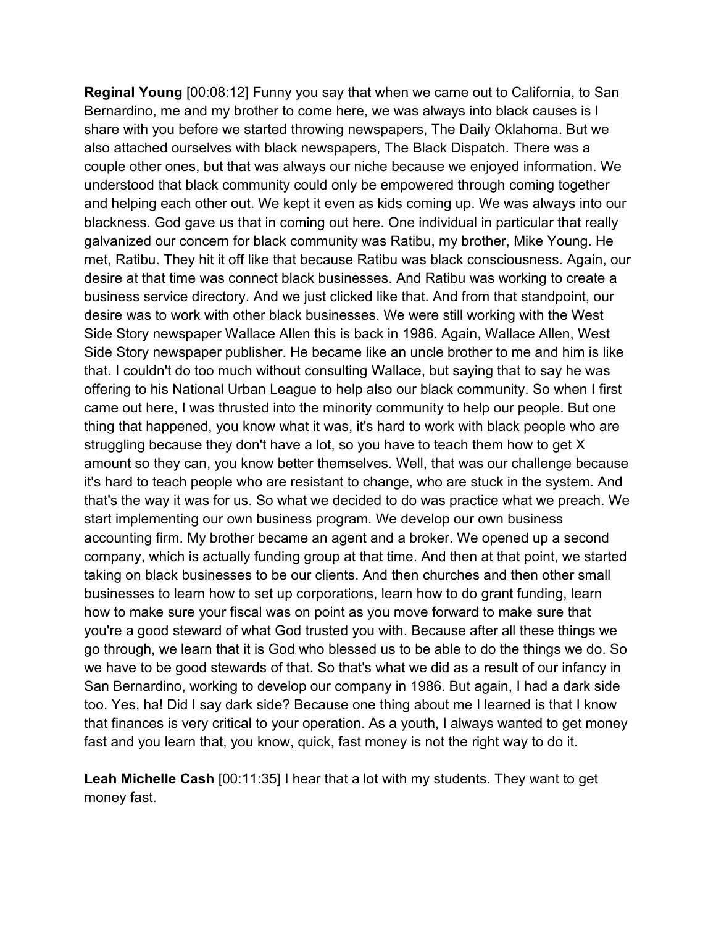**Reginal Young** [00:08:12] Funny you say that when we came out to California, to San Bernardino, me and my brother to come here, we was always into black causes is I share with you before we started throwing newspapers, The Daily Oklahoma. But we also attached ourselves with black newspapers, The Black Dispatch. There was a couple other ones, but that was always our niche because we enjoyed information. We understood that black community could only be empowered through coming together and helping each other out. We kept it even as kids coming up. We was always into our blackness. God gave us that in coming out here. One individual in particular that really galvanized our concern for black community was Ratibu, my brother, Mike Young. He met, Ratibu. They hit it off like that because Ratibu was black consciousness. Again, our desire at that time was connect black businesses. And Ratibu was working to create a business service directory. And we just clicked like that. And from that standpoint, our desire was to work with other black businesses. We were still working with the West Side Story newspaper Wallace Allen this is back in 1986. Again, Wallace Allen, West Side Story newspaper publisher. He became like an uncle brother to me and him is like that. I couldn't do too much without consulting Wallace, but saying that to say he was offering to his National Urban League to help also our black community. So when I first came out here, I was thrusted into the minority community to help our people. But one thing that happened, you know what it was, it's hard to work with black people who are struggling because they don't have a lot, so you have to teach them how to get X amount so they can, you know better themselves. Well, that was our challenge because it's hard to teach people who are resistant to change, who are stuck in the system. And that's the way it was for us. So what we decided to do was practice what we preach. We start implementing our own business program. We develop our own business accounting firm. My brother became an agent and a broker. We opened up a second company, which is actually funding group at that time. And then at that point, we started taking on black businesses to be our clients. And then churches and then other small businesses to learn how to set up corporations, learn how to do grant funding, learn how to make sure your fiscal was on point as you move forward to make sure that you're a good steward of what God trusted you with. Because after all these things we go through, we learn that it is God who blessed us to be able to do the things we do. So we have to be good stewards of that. So that's what we did as a result of our infancy in San Bernardino, working to develop our company in 1986. But again, I had a dark side too. Yes, ha! Did I say dark side? Because one thing about me I learned is that I know that finances is very critical to your operation. As a youth, I always wanted to get money fast and you learn that, you know, quick, fast money is not the right way to do it.

**Leah Michelle Cash** [00:11:35] I hear that a lot with my students. They want to get money fast.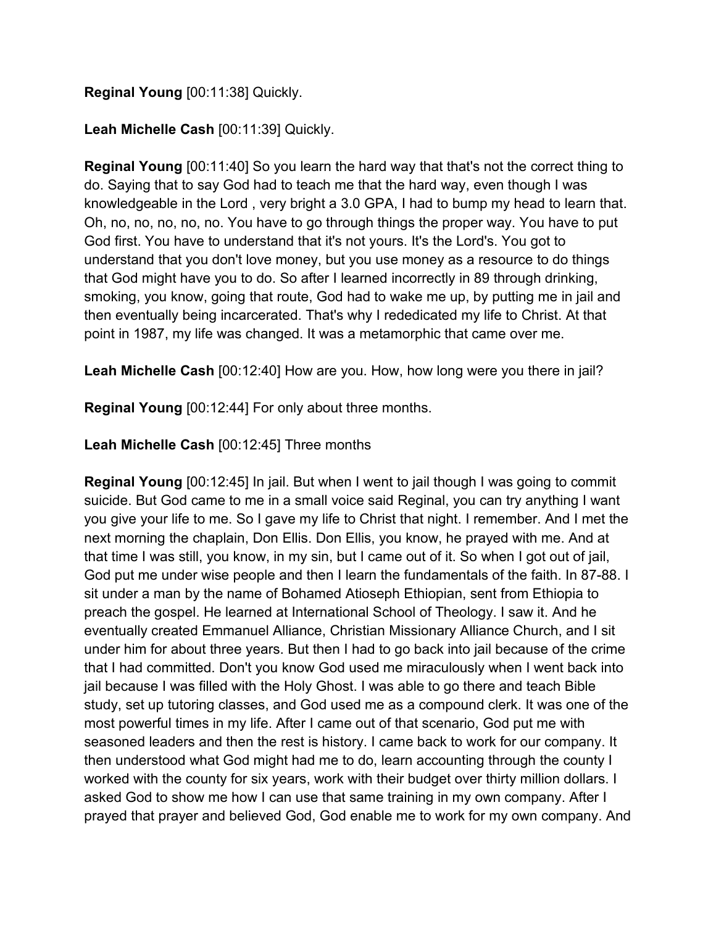### **Reginal Young** [00:11:38] Quickly.

#### **Leah Michelle Cash** [00:11:39] Quickly.

**Reginal Young** [00:11:40] So you learn the hard way that that's not the correct thing to do. Saying that to say God had to teach me that the hard way, even though I was knowledgeable in the Lord , very bright a 3.0 GPA, I had to bump my head to learn that. Oh, no, no, no, no, no. You have to go through things the proper way. You have to put God first. You have to understand that it's not yours. It's the Lord's. You got to understand that you don't love money, but you use money as a resource to do things that God might have you to do. So after I learned incorrectly in 89 through drinking, smoking, you know, going that route, God had to wake me up, by putting me in jail and then eventually being incarcerated. That's why I rededicated my life to Christ. At that point in 1987, my life was changed. It was a metamorphic that came over me.

**Leah Michelle Cash** [00:12:40] How are you. How, how long were you there in jail?

**Reginal Young** [00:12:44] For only about three months.

### **Leah Michelle Cash** [00:12:45] Three months

**Reginal Young** [00:12:45] In jail. But when I went to jail though I was going to commit suicide. But God came to me in a small voice said Reginal, you can try anything I want you give your life to me. So I gave my life to Christ that night. I remember. And I met the next morning the chaplain, Don Ellis. Don Ellis, you know, he prayed with me. And at that time I was still, you know, in my sin, but I came out of it. So when I got out of jail, God put me under wise people and then I learn the fundamentals of the faith. In 87-88. I sit under a man by the name of Bohamed Atioseph Ethiopian, sent from Ethiopia to preach the gospel. He learned at International School of Theology. I saw it. And he eventually created Emmanuel Alliance, Christian Missionary Alliance Church, and I sit under him for about three years. But then I had to go back into jail because of the crime that I had committed. Don't you know God used me miraculously when I went back into jail because I was filled with the Holy Ghost. I was able to go there and teach Bible study, set up tutoring classes, and God used me as a compound clerk. It was one of the most powerful times in my life. After I came out of that scenario, God put me with seasoned leaders and then the rest is history. I came back to work for our company. It then understood what God might had me to do, learn accounting through the county I worked with the county for six years, work with their budget over thirty million dollars. I asked God to show me how I can use that same training in my own company. After I prayed that prayer and believed God, God enable me to work for my own company. And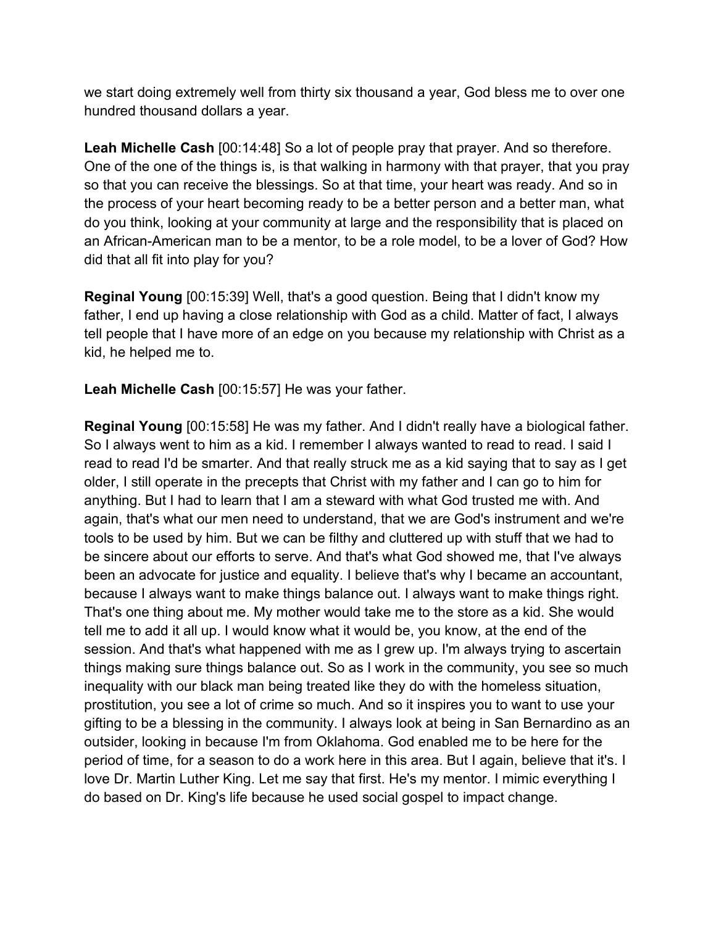we start doing extremely well from thirty six thousand a year, God bless me to over one hundred thousand dollars a year.

**Leah Michelle Cash** [00:14:48] So a lot of people pray that prayer. And so therefore. One of the one of the things is, is that walking in harmony with that prayer, that you pray so that you can receive the blessings. So at that time, your heart was ready. And so in the process of your heart becoming ready to be a better person and a better man, what do you think, looking at your community at large and the responsibility that is placed on an African-American man to be a mentor, to be a role model, to be a lover of God? How did that all fit into play for you?

**Reginal Young** [00:15:39] Well, that's a good question. Being that I didn't know my father, I end up having a close relationship with God as a child. Matter of fact, I always tell people that I have more of an edge on you because my relationship with Christ as a kid, he helped me to.

**Leah Michelle Cash** [00:15:57] He was your father.

**Reginal Young** [00:15:58] He was my father. And I didn't really have a biological father. So I always went to him as a kid. I remember I always wanted to read to read. I said I read to read I'd be smarter. And that really struck me as a kid saying that to say as I get older, I still operate in the precepts that Christ with my father and I can go to him for anything. But I had to learn that I am a steward with what God trusted me with. And again, that's what our men need to understand, that we are God's instrument and we're tools to be used by him. But we can be filthy and cluttered up with stuff that we had to be sincere about our efforts to serve. And that's what God showed me, that I've always been an advocate for justice and equality. I believe that's why I became an accountant, because I always want to make things balance out. I always want to make things right. That's one thing about me. My mother would take me to the store as a kid. She would tell me to add it all up. I would know what it would be, you know, at the end of the session. And that's what happened with me as I grew up. I'm always trying to ascertain things making sure things balance out. So as I work in the community, you see so much inequality with our black man being treated like they do with the homeless situation, prostitution, you see a lot of crime so much. And so it inspires you to want to use your gifting to be a blessing in the community. I always look at being in San Bernardino as an outsider, looking in because I'm from Oklahoma. God enabled me to be here for the period of time, for a season to do a work here in this area. But I again, believe that it's. I love Dr. Martin Luther King. Let me say that first. He's my mentor. I mimic everything I do based on Dr. King's life because he used social gospel to impact change.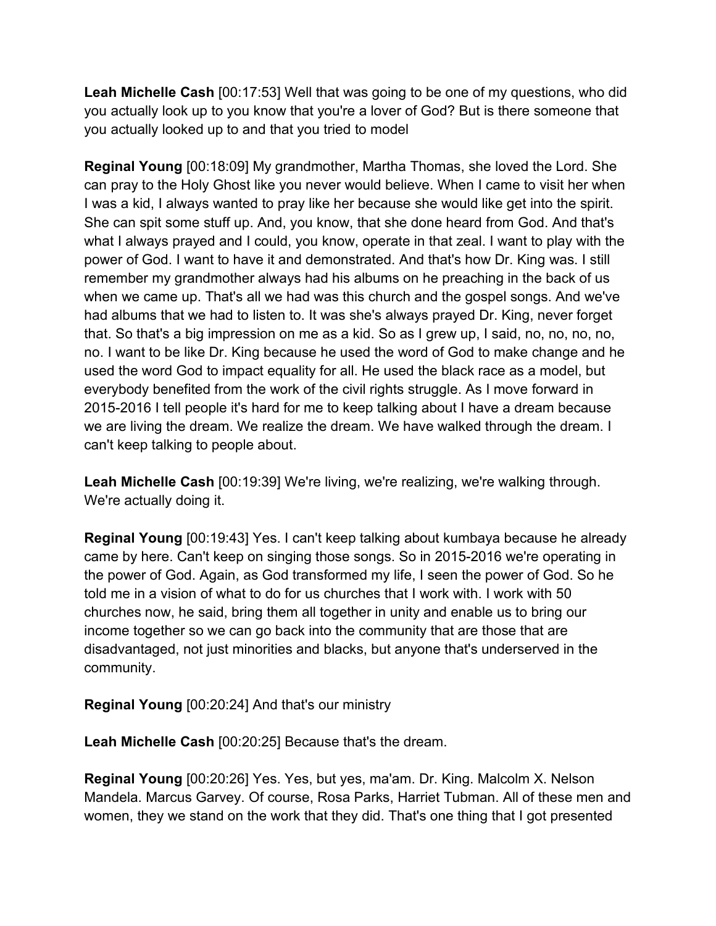**Leah Michelle Cash** [00:17:53] Well that was going to be one of my questions, who did you actually look up to you know that you're a lover of God? But is there someone that you actually looked up to and that you tried to model

**Reginal Young** [00:18:09] My grandmother, Martha Thomas, she loved the Lord. She can pray to the Holy Ghost like you never would believe. When I came to visit her when I was a kid, I always wanted to pray like her because she would like get into the spirit. She can spit some stuff up. And, you know, that she done heard from God. And that's what I always prayed and I could, you know, operate in that zeal. I want to play with the power of God. I want to have it and demonstrated. And that's how Dr. King was. I still remember my grandmother always had his albums on he preaching in the back of us when we came up. That's all we had was this church and the gospel songs. And we've had albums that we had to listen to. It was she's always prayed Dr. King, never forget that. So that's a big impression on me as a kid. So as I grew up, I said, no, no, no, no, no. I want to be like Dr. King because he used the word of God to make change and he used the word God to impact equality for all. He used the black race as a model, but everybody benefited from the work of the civil rights struggle. As I move forward in 2015-2016 I tell people it's hard for me to keep talking about I have a dream because we are living the dream. We realize the dream. We have walked through the dream. I can't keep talking to people about.

**Leah Michelle Cash** [00:19:39] We're living, we're realizing, we're walking through. We're actually doing it.

**Reginal Young** [00:19:43] Yes. I can't keep talking about kumbaya because he already came by here. Can't keep on singing those songs. So in 2015-2016 we're operating in the power of God. Again, as God transformed my life, I seen the power of God. So he told me in a vision of what to do for us churches that I work with. I work with 50 churches now, he said, bring them all together in unity and enable us to bring our income together so we can go back into the community that are those that are disadvantaged, not just minorities and blacks, but anyone that's underserved in the community.

**Reginal Young** [00:20:24] And that's our ministry

**Leah Michelle Cash** [00:20:25] Because that's the dream.

**Reginal Young** [00:20:26] Yes. Yes, but yes, ma'am. Dr. King. Malcolm X. Nelson Mandela. Marcus Garvey. Of course, Rosa Parks, Harriet Tubman. All of these men and women, they we stand on the work that they did. That's one thing that I got presented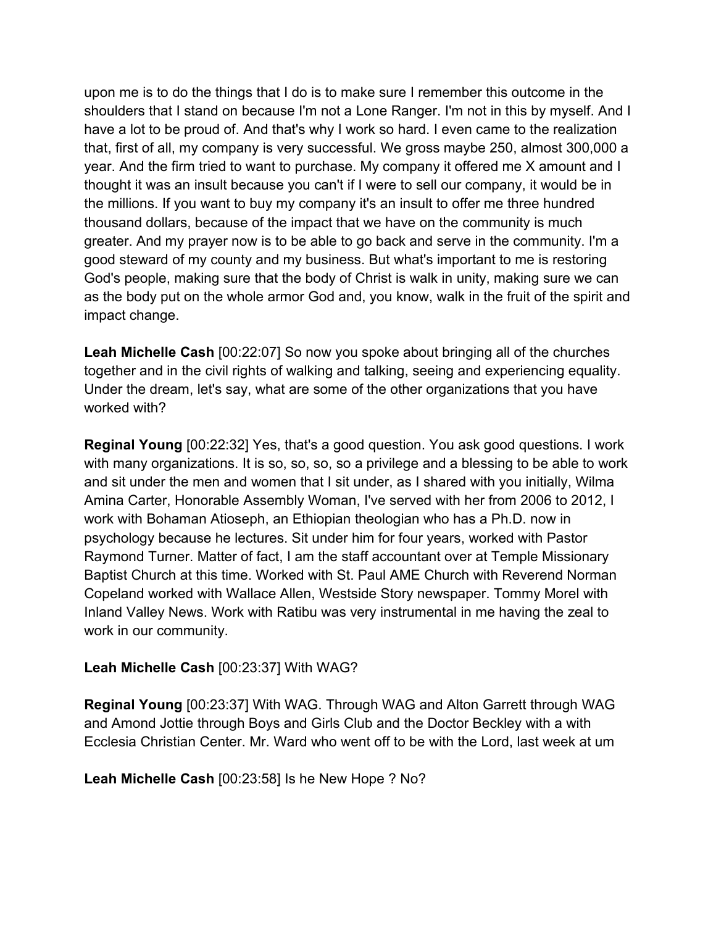upon me is to do the things that I do is to make sure I remember this outcome in the shoulders that I stand on because I'm not a Lone Ranger. I'm not in this by myself. And I have a lot to be proud of. And that's why I work so hard. I even came to the realization that, first of all, my company is very successful. We gross maybe 250, almost 300,000 a year. And the firm tried to want to purchase. My company it offered me X amount and I thought it was an insult because you can't if I were to sell our company, it would be in the millions. If you want to buy my company it's an insult to offer me three hundred thousand dollars, because of the impact that we have on the community is much greater. And my prayer now is to be able to go back and serve in the community. I'm a good steward of my county and my business. But what's important to me is restoring God's people, making sure that the body of Christ is walk in unity, making sure we can as the body put on the whole armor God and, you know, walk in the fruit of the spirit and impact change.

**Leah Michelle Cash** [00:22:07] So now you spoke about bringing all of the churches together and in the civil rights of walking and talking, seeing and experiencing equality. Under the dream, let's say, what are some of the other organizations that you have worked with?

**Reginal Young** [00:22:32] Yes, that's a good question. You ask good questions. I work with many organizations. It is so, so, so, so a privilege and a blessing to be able to work and sit under the men and women that I sit under, as I shared with you initially, Wilma Amina Carter, Honorable Assembly Woman, I've served with her from 2006 to 2012, I work with Bohaman Atioseph, an Ethiopian theologian who has a Ph.D. now in psychology because he lectures. Sit under him for four years, worked with Pastor Raymond Turner. Matter of fact, I am the staff accountant over at Temple Missionary Baptist Church at this time. Worked with St. Paul AME Church with Reverend Norman Copeland worked with Wallace Allen, Westside Story newspaper. Tommy Morel with Inland Valley News. Work with Ratibu was very instrumental in me having the zeal to work in our community.

#### **Leah Michelle Cash** [00:23:37] With WAG?

**Reginal Young** [00:23:37] With WAG. Through WAG and Alton Garrett through WAG and Amond Jottie through Boys and Girls Club and the Doctor Beckley with a with Ecclesia Christian Center. Mr. Ward who went off to be with the Lord, last week at um

**Leah Michelle Cash** [00:23:58] Is he New Hope ? No?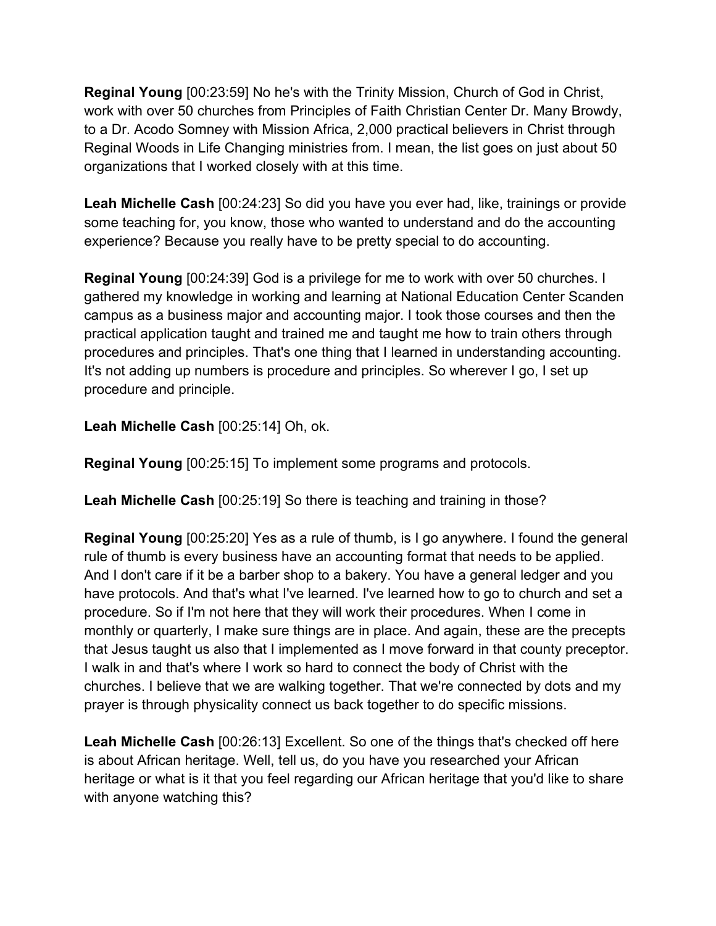**Reginal Young** [00:23:59] No he's with the Trinity Mission, Church of God in Christ, work with over 50 churches from Principles of Faith Christian Center Dr. Many Browdy, to a Dr. Acodo Somney with Mission Africa, 2,000 practical believers in Christ through Reginal Woods in Life Changing ministries from. I mean, the list goes on just about 50 organizations that I worked closely with at this time.

**Leah Michelle Cash** [00:24:23] So did you have you ever had, like, trainings or provide some teaching for, you know, those who wanted to understand and do the accounting experience? Because you really have to be pretty special to do accounting.

**Reginal Young** [00:24:39] God is a privilege for me to work with over 50 churches. I gathered my knowledge in working and learning at National Education Center Scanden campus as a business major and accounting major. I took those courses and then the practical application taught and trained me and taught me how to train others through procedures and principles. That's one thing that I learned in understanding accounting. It's not adding up numbers is procedure and principles. So wherever I go, I set up procedure and principle.

**Leah Michelle Cash** [00:25:14] Oh, ok.

**Reginal Young** [00:25:15] To implement some programs and protocols.

**Leah Michelle Cash** [00:25:19] So there is teaching and training in those?

**Reginal Young** [00:25:20] Yes as a rule of thumb, is I go anywhere. I found the general rule of thumb is every business have an accounting format that needs to be applied. And I don't care if it be a barber shop to a bakery. You have a general ledger and you have protocols. And that's what I've learned. I've learned how to go to church and set a procedure. So if I'm not here that they will work their procedures. When I come in monthly or quarterly, I make sure things are in place. And again, these are the precepts that Jesus taught us also that I implemented as I move forward in that county preceptor. I walk in and that's where I work so hard to connect the body of Christ with the churches. I believe that we are walking together. That we're connected by dots and my prayer is through physicality connect us back together to do specific missions.

**Leah Michelle Cash** [00:26:13] Excellent. So one of the things that's checked off here is about African heritage. Well, tell us, do you have you researched your African heritage or what is it that you feel regarding our African heritage that you'd like to share with anyone watching this?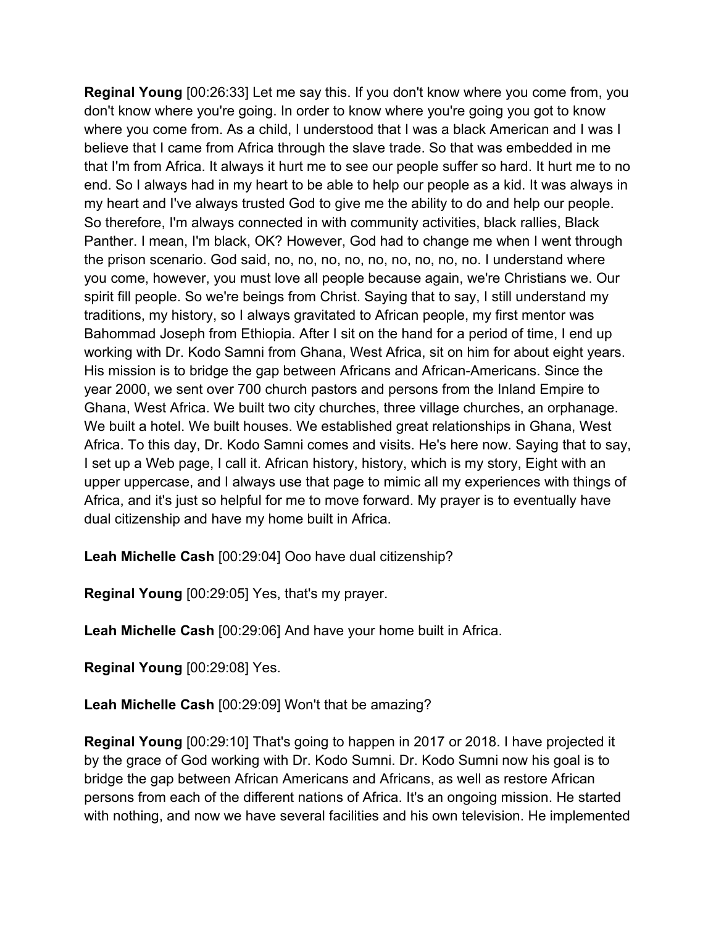**Reginal Young** [00:26:33] Let me say this. If you don't know where you come from, you don't know where you're going. In order to know where you're going you got to know where you come from. As a child, I understood that I was a black American and I was I believe that I came from Africa through the slave trade. So that was embedded in me that I'm from Africa. It always it hurt me to see our people suffer so hard. It hurt me to no end. So I always had in my heart to be able to help our people as a kid. It was always in my heart and I've always trusted God to give me the ability to do and help our people. So therefore, I'm always connected in with community activities, black rallies, Black Panther. I mean, I'm black, OK? However, God had to change me when I went through the prison scenario. God said, no, no, no, no, no, no, no, no, no. I understand where you come, however, you must love all people because again, we're Christians we. Our spirit fill people. So we're beings from Christ. Saying that to say, I still understand my traditions, my history, so I always gravitated to African people, my first mentor was Bahommad Joseph from Ethiopia. After I sit on the hand for a period of time, I end up working with Dr. Kodo Samni from Ghana, West Africa, sit on him for about eight years. His mission is to bridge the gap between Africans and African-Americans. Since the year 2000, we sent over 700 church pastors and persons from the Inland Empire to Ghana, West Africa. We built two city churches, three village churches, an orphanage. We built a hotel. We built houses. We established great relationships in Ghana, West Africa. To this day, Dr. Kodo Samni comes and visits. He's here now. Saying that to say, I set up a Web page, I call it. African history, history, which is my story, Eight with an upper uppercase, and I always use that page to mimic all my experiences with things of Africa, and it's just so helpful for me to move forward. My prayer is to eventually have dual citizenship and have my home built in Africa.

**Leah Michelle Cash** [00:29:04] Ooo have dual citizenship?

**Reginal Young** [00:29:05] Yes, that's my prayer.

**Leah Michelle Cash** [00:29:06] And have your home built in Africa.

**Reginal Young** [00:29:08] Yes.

**Leah Michelle Cash** [00:29:09] Won't that be amazing?

**Reginal Young** [00:29:10] That's going to happen in 2017 or 2018. I have projected it by the grace of God working with Dr. Kodo Sumni. Dr. Kodo Sumni now his goal is to bridge the gap between African Americans and Africans, as well as restore African persons from each of the different nations of Africa. It's an ongoing mission. He started with nothing, and now we have several facilities and his own television. He implemented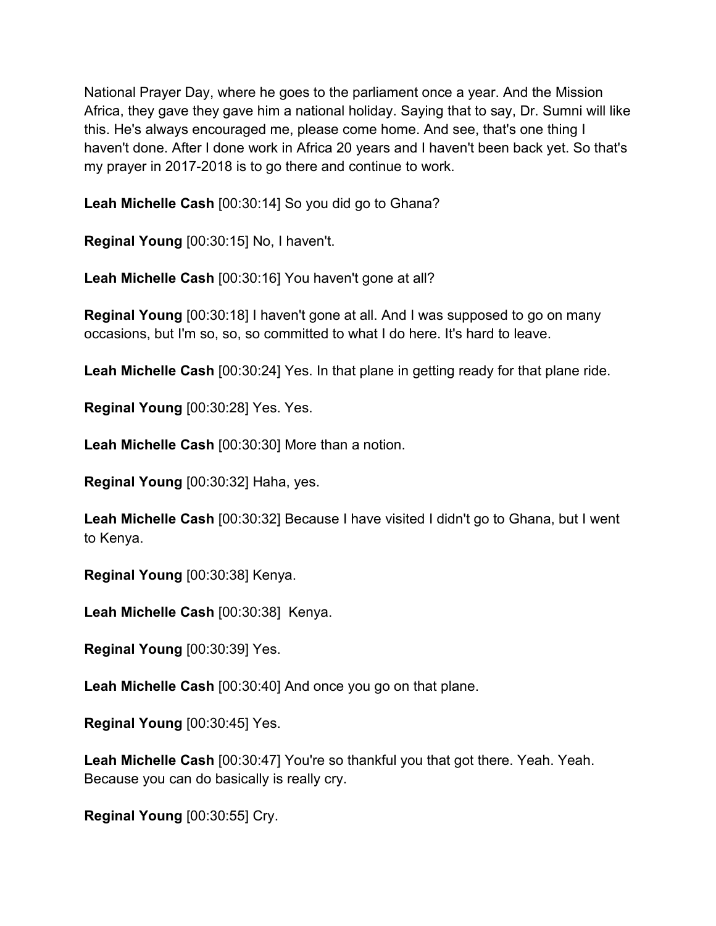National Prayer Day, where he goes to the parliament once a year. And the Mission Africa, they gave they gave him a national holiday. Saying that to say, Dr. Sumni will like this. He's always encouraged me, please come home. And see, that's one thing I haven't done. After I done work in Africa 20 years and I haven't been back yet. So that's my prayer in 2017-2018 is to go there and continue to work.

**Leah Michelle Cash** [00:30:14] So you did go to Ghana?

**Reginal Young** [00:30:15] No, I haven't.

**Leah Michelle Cash** [00:30:16] You haven't gone at all?

**Reginal Young** [00:30:18] I haven't gone at all. And I was supposed to go on many occasions, but I'm so, so, so committed to what I do here. It's hard to leave.

**Leah Michelle Cash** [00:30:24] Yes. In that plane in getting ready for that plane ride.

**Reginal Young** [00:30:28] Yes. Yes.

**Leah Michelle Cash** [00:30:30] More than a notion.

**Reginal Young** [00:30:32] Haha, yes.

**Leah Michelle Cash** [00:30:32] Because I have visited I didn't go to Ghana, but I went to Kenya.

**Reginal Young** [00:30:38] Kenya.

**Leah Michelle Cash** [00:30:38] Kenya.

**Reginal Young** [00:30:39] Yes.

**Leah Michelle Cash** [00:30:40] And once you go on that plane.

**Reginal Young** [00:30:45] Yes.

**Leah Michelle Cash** [00:30:47] You're so thankful you that got there. Yeah. Yeah. Because you can do basically is really cry.

**Reginal Young** [00:30:55] Cry.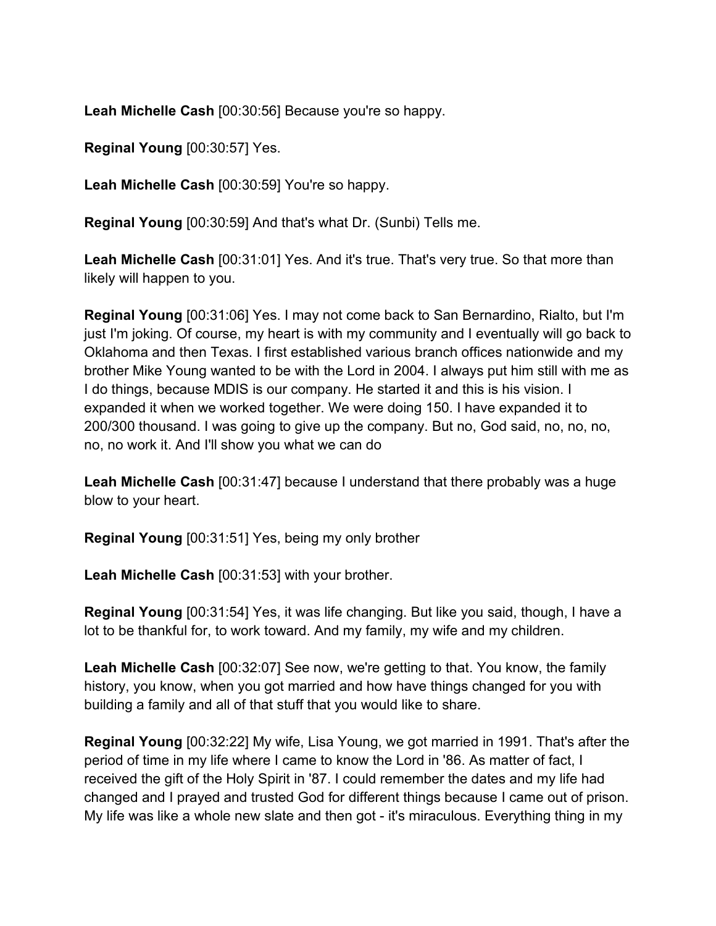**Leah Michelle Cash** [00:30:56] Because you're so happy.

**Reginal Young** [00:30:57] Yes.

**Leah Michelle Cash** [00:30:59] You're so happy.

**Reginal Young** [00:30:59] And that's what Dr. (Sunbi) Tells me.

**Leah Michelle Cash** [00:31:01] Yes. And it's true. That's very true. So that more than likely will happen to you.

**Reginal Young** [00:31:06] Yes. I may not come back to San Bernardino, Rialto, but I'm just I'm joking. Of course, my heart is with my community and I eventually will go back to Oklahoma and then Texas. I first established various branch offices nationwide and my brother Mike Young wanted to be with the Lord in 2004. I always put him still with me as I do things, because MDIS is our company. He started it and this is his vision. I expanded it when we worked together. We were doing 150. I have expanded it to 200/300 thousand. I was going to give up the company. But no, God said, no, no, no, no, no work it. And I'll show you what we can do

**Leah Michelle Cash** [00:31:47] because I understand that there probably was a huge blow to your heart.

**Reginal Young** [00:31:51] Yes, being my only brother

**Leah Michelle Cash** [00:31:53] with your brother.

**Reginal Young** [00:31:54] Yes, it was life changing. But like you said, though, I have a lot to be thankful for, to work toward. And my family, my wife and my children.

**Leah Michelle Cash** [00:32:07] See now, we're getting to that. You know, the family history, you know, when you got married and how have things changed for you with building a family and all of that stuff that you would like to share.

**Reginal Young** [00:32:22] My wife, Lisa Young, we got married in 1991. That's after the period of time in my life where I came to know the Lord in '86. As matter of fact, I received the gift of the Holy Spirit in '87. I could remember the dates and my life had changed and I prayed and trusted God for different things because I came out of prison. My life was like a whole new slate and then got - it's miraculous. Everything thing in my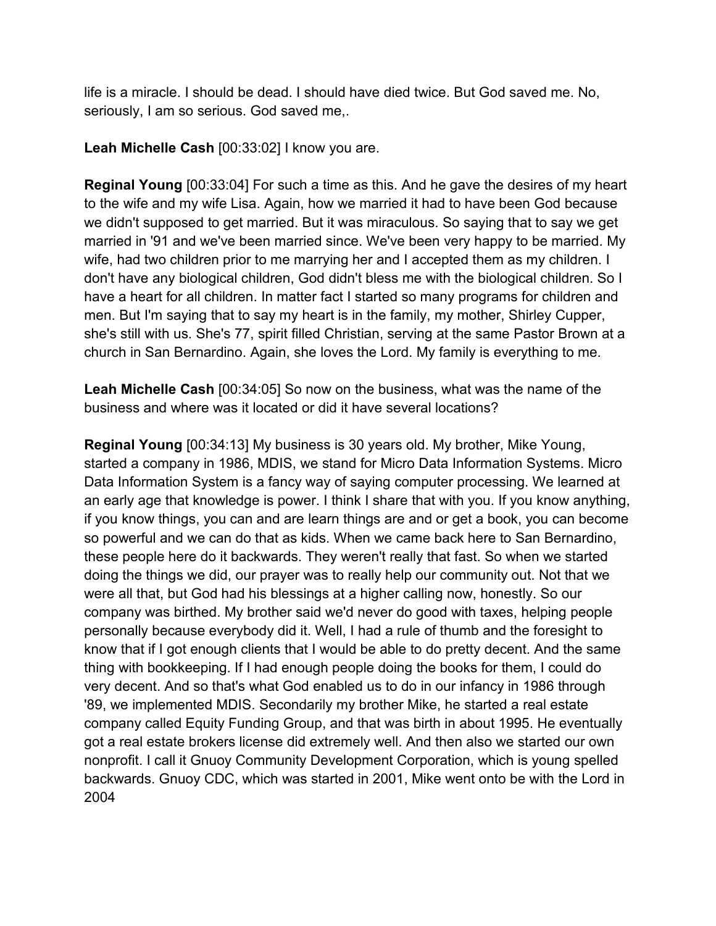life is a miracle. I should be dead. I should have died twice. But God saved me. No, seriously, I am so serious. God saved me,.

**Leah Michelle Cash** [00:33:02] I know you are.

**Reginal Young** [00:33:04] For such a time as this. And he gave the desires of my heart to the wife and my wife Lisa. Again, how we married it had to have been God because we didn't supposed to get married. But it was miraculous. So saying that to say we get married in '91 and we've been married since. We've been very happy to be married. My wife, had two children prior to me marrying her and I accepted them as my children. I don't have any biological children, God didn't bless me with the biological children. So I have a heart for all children. In matter fact I started so many programs for children and men. But I'm saying that to say my heart is in the family, my mother, Shirley Cupper, she's still with us. She's 77, spirit filled Christian, serving at the same Pastor Brown at a church in San Bernardino. Again, she loves the Lord. My family is everything to me.

**Leah Michelle Cash** [00:34:05] So now on the business, what was the name of the business and where was it located or did it have several locations?

**Reginal Young** [00:34:13] My business is 30 years old. My brother, Mike Young, started a company in 1986, MDIS, we stand for Micro Data Information Systems. Micro Data Information System is a fancy way of saying computer processing. We learned at an early age that knowledge is power. I think I share that with you. If you know anything, if you know things, you can and are learn things are and or get a book, you can become so powerful and we can do that as kids. When we came back here to San Bernardino, these people here do it backwards. They weren't really that fast. So when we started doing the things we did, our prayer was to really help our community out. Not that we were all that, but God had his blessings at a higher calling now, honestly. So our company was birthed. My brother said we'd never do good with taxes, helping people personally because everybody did it. Well, I had a rule of thumb and the foresight to know that if I got enough clients that I would be able to do pretty decent. And the same thing with bookkeeping. If I had enough people doing the books for them, I could do very decent. And so that's what God enabled us to do in our infancy in 1986 through '89, we implemented MDIS. Secondarily my brother Mike, he started a real estate company called Equity Funding Group, and that was birth in about 1995. He eventually got a real estate brokers license did extremely well. And then also we started our own nonprofit. I call it Gnuoy Community Development Corporation, which is young spelled backwards. Gnuoy CDC, which was started in 2001, Mike went onto be with the Lord in 2004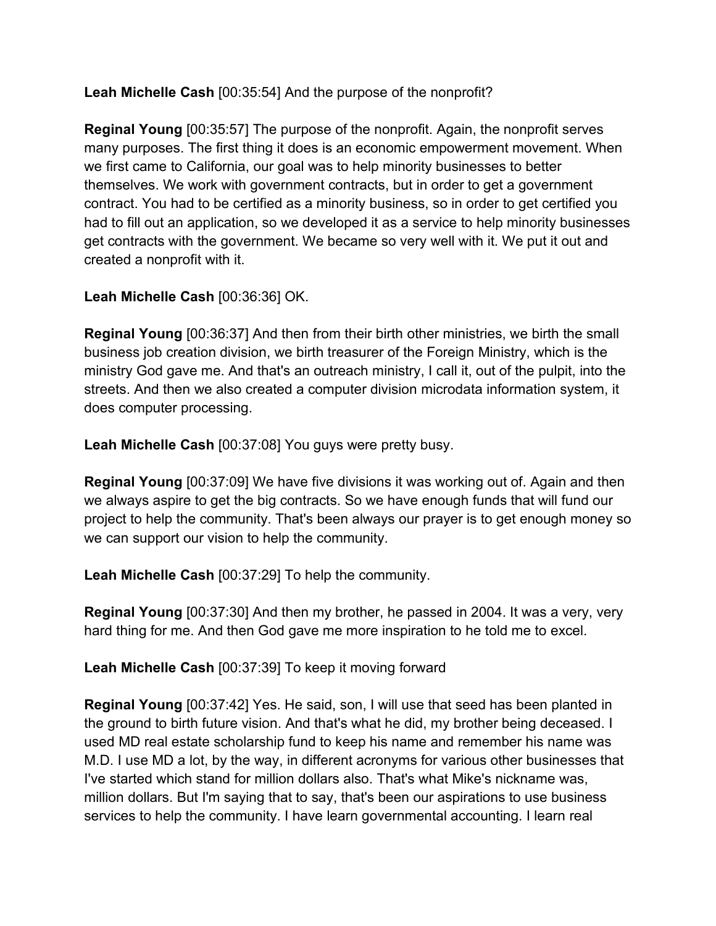**Leah Michelle Cash** [00:35:54] And the purpose of the nonprofit?

**Reginal Young** [00:35:57] The purpose of the nonprofit. Again, the nonprofit serves many purposes. The first thing it does is an economic empowerment movement. When we first came to California, our goal was to help minority businesses to better themselves. We work with government contracts, but in order to get a government contract. You had to be certified as a minority business, so in order to get certified you had to fill out an application, so we developed it as a service to help minority businesses get contracts with the government. We became so very well with it. We put it out and created a nonprofit with it.

## **Leah Michelle Cash** [00:36:36] OK.

**Reginal Young** [00:36:37] And then from their birth other ministries, we birth the small business job creation division, we birth treasurer of the Foreign Ministry, which is the ministry God gave me. And that's an outreach ministry, I call it, out of the pulpit, into the streets. And then we also created a computer division microdata information system, it does computer processing.

**Leah Michelle Cash** [00:37:08] You guys were pretty busy.

**Reginal Young** [00:37:09] We have five divisions it was working out of. Again and then we always aspire to get the big contracts. So we have enough funds that will fund our project to help the community. That's been always our prayer is to get enough money so we can support our vision to help the community.

**Leah Michelle Cash** [00:37:29] To help the community.

**Reginal Young** [00:37:30] And then my brother, he passed in 2004. It was a very, very hard thing for me. And then God gave me more inspiration to he told me to excel.

**Leah Michelle Cash** [00:37:39] To keep it moving forward

**Reginal Young** [00:37:42] Yes. He said, son, I will use that seed has been planted in the ground to birth future vision. And that's what he did, my brother being deceased. I used MD real estate scholarship fund to keep his name and remember his name was M.D. I use MD a lot, by the way, in different acronyms for various other businesses that I've started which stand for million dollars also. That's what Mike's nickname was, million dollars. But I'm saying that to say, that's been our aspirations to use business services to help the community. I have learn governmental accounting. I learn real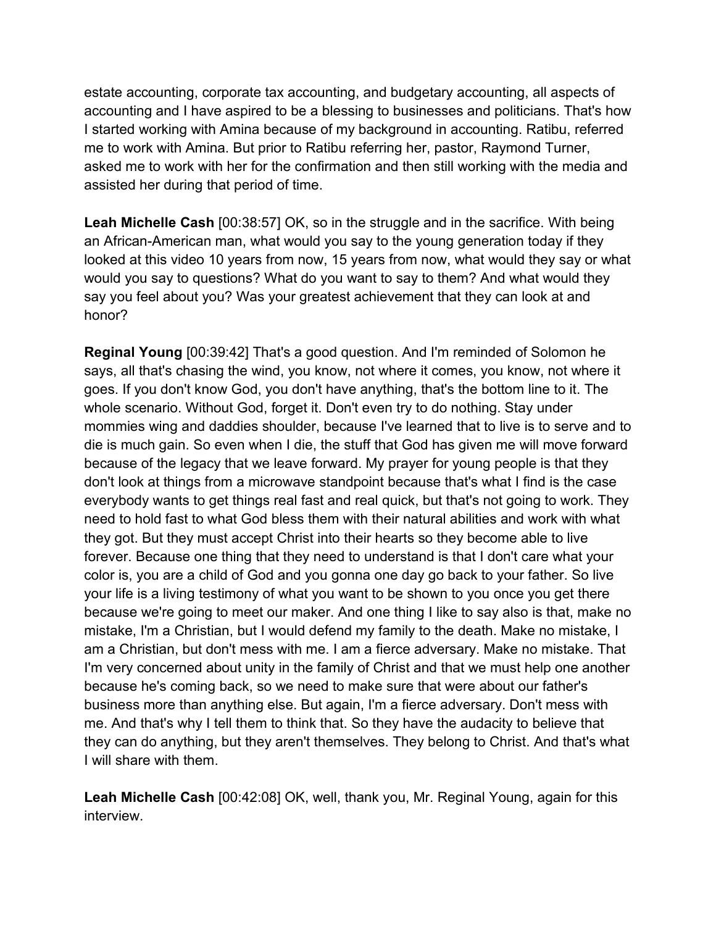estate accounting, corporate tax accounting, and budgetary accounting, all aspects of accounting and I have aspired to be a blessing to businesses and politicians. That's how I started working with Amina because of my background in accounting. Ratibu, referred me to work with Amina. But prior to Ratibu referring her, pastor, Raymond Turner, asked me to work with her for the confirmation and then still working with the media and assisted her during that period of time.

**Leah Michelle Cash** [00:38:57] OK, so in the struggle and in the sacrifice. With being an African-American man, what would you say to the young generation today if they looked at this video 10 years from now, 15 years from now, what would they say or what would you say to questions? What do you want to say to them? And what would they say you feel about you? Was your greatest achievement that they can look at and honor?

**Reginal Young** [00:39:42] That's a good question. And I'm reminded of Solomon he says, all that's chasing the wind, you know, not where it comes, you know, not where it goes. If you don't know God, you don't have anything, that's the bottom line to it. The whole scenario. Without God, forget it. Don't even try to do nothing. Stay under mommies wing and daddies shoulder, because I've learned that to live is to serve and to die is much gain. So even when I die, the stuff that God has given me will move forward because of the legacy that we leave forward. My prayer for young people is that they don't look at things from a microwave standpoint because that's what I find is the case everybody wants to get things real fast and real quick, but that's not going to work. They need to hold fast to what God bless them with their natural abilities and work with what they got. But they must accept Christ into their hearts so they become able to live forever. Because one thing that they need to understand is that I don't care what your color is, you are a child of God and you gonna one day go back to your father. So live your life is a living testimony of what you want to be shown to you once you get there because we're going to meet our maker. And one thing I like to say also is that, make no mistake, I'm a Christian, but I would defend my family to the death. Make no mistake, I am a Christian, but don't mess with me. I am a fierce adversary. Make no mistake. That I'm very concerned about unity in the family of Christ and that we must help one another because he's coming back, so we need to make sure that were about our father's business more than anything else. But again, I'm a fierce adversary. Don't mess with me. And that's why I tell them to think that. So they have the audacity to believe that they can do anything, but they aren't themselves. They belong to Christ. And that's what I will share with them.

**Leah Michelle Cash** [00:42:08] OK, well, thank you, Mr. Reginal Young, again for this interview.